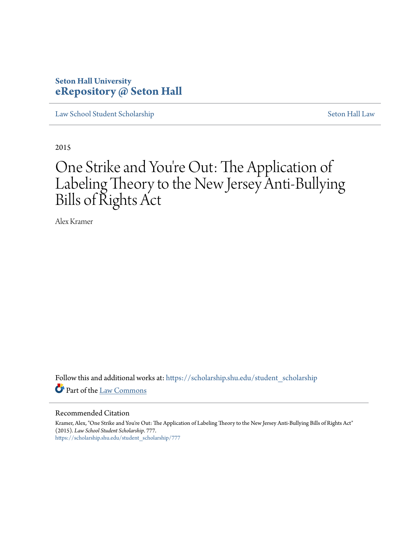# **Seton Hall University [eRepository @ Seton Hall](https://scholarship.shu.edu?utm_source=scholarship.shu.edu%2Fstudent_scholarship%2F777&utm_medium=PDF&utm_campaign=PDFCoverPages)**

[Law School Student Scholarship](https://scholarship.shu.edu/student_scholarship?utm_source=scholarship.shu.edu%2Fstudent_scholarship%2F777&utm_medium=PDF&utm_campaign=PDFCoverPages) [Seton Hall Law](https://scholarship.shu.edu/law?utm_source=scholarship.shu.edu%2Fstudent_scholarship%2F777&utm_medium=PDF&utm_campaign=PDFCoverPages)

2015

# One Strike and You ' re Out: The Application of Labeling Theory to the New Jersey Anti-Bullying Bills of Rights Act

Alex Kramer

Follow this and additional works at: [https://scholarship.shu.edu/student\\_scholarship](https://scholarship.shu.edu/student_scholarship?utm_source=scholarship.shu.edu%2Fstudent_scholarship%2F777&utm_medium=PDF&utm_campaign=PDFCoverPages) Part of the [Law Commons](http://network.bepress.com/hgg/discipline/578?utm_source=scholarship.shu.edu%2Fstudent_scholarship%2F777&utm_medium=PDF&utm_campaign=PDFCoverPages)

#### Recommended Citation

Kramer, Alex, "One Strike and You're Out: The Application of Labeling Theory to the New Jersey Anti-Bullying Bills of Rights Act" (2015). *Law School Student Scholarship*. 777. [https://scholarship.shu.edu/student\\_scholarship/777](https://scholarship.shu.edu/student_scholarship/777?utm_source=scholarship.shu.edu%2Fstudent_scholarship%2F777&utm_medium=PDF&utm_campaign=PDFCoverPages)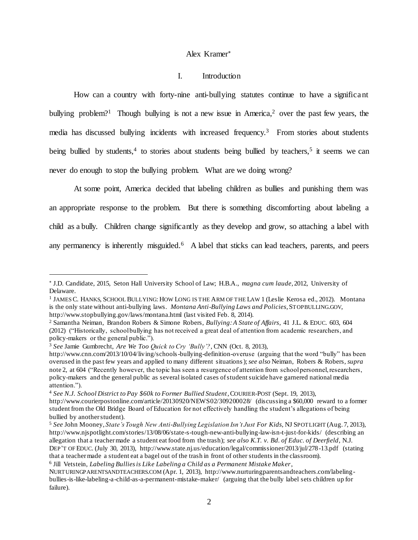### Alex Kramer

### <span id="page-1-0"></span>I. Introduction

<span id="page-1-1"></span>How can a country with forty-nine anti-bullying statutes continue to have a significant bullying problem?<sup>1</sup> Though bullying is not a new issue in America,<sup>2</sup> over the past few years, the media has discussed bullying incidents with increased frequency.<sup>3</sup> From stories about students being bullied by students,<sup>4</sup> to stories about students being bullied by teachers,<sup>5</sup> it seems we can never do enough to stop the bullying problem. What are we doing wrong?

At some point, America decided that labeling children as bullies and punishing them was an appropriate response to the problem. But there is something discomforting about labeling a child as a bully. Children change significantly as they develop and grow, so attaching a label with any permanency is inherently misguided.<sup>6</sup> A label that sticks can lead teachers, parents, and peers

<span id="page-1-2"></span>J.D. Candidate, 2015, Seton Hall University School of Law; H.B.A., *magna cum laude*, 2012, University of Delaware.

<sup>1</sup> JAMES C. HANKS, SCHOOL BULLYING: HOW LONG IS THE ARM OF THE LAW 1 (Leslie Kerosa ed., 2012). Montana is the only state without anti-bullying laws. *Montana Anti-Bullying Laws and Policies*, STOPBULLING.GOV, http://www.stopbullying.gov/laws/montana.html (last visited Feb. 8, 2014).

<sup>2</sup> Samantha Neiman, Brandon Robers & Simone Robers, *Bullying: A State of Affairs*, 41 J.L. & EDUC. 603, 604 (2012) ("Historically, school bullying has not received a great deal of attention from academic researchers, and policy-makers or the general public.").

<sup>3</sup> *See* Jamie Gumbrecht, *Are We Too Quick to Cry 'Bully'?*, CNN (Oct. 8, 2013),

http://www.cnn.com/2013/10/04/living/schools-bullying-definition-overuse (arguing that the word "bully" has been overused in the past few years and applied to many different situations); *see also* Neiman, Robers & Robers, *supra* not[e 2,](#page-1-0) at 604 ("Recently however, the topic has seen a resurgence of attention from school personnel, researchers, policy-makers and the general public as several isolated cases of student suicide have garnered national media attention.").

<sup>4</sup> *See N.J. School District to Pay \$60k to Former Bullied Student*, COURIER-POST (Sept. 19, 2013), http://www.courierpostonline.com/article/20130920/NEWS02/309200028/ (discussing a \$60,000 reward to a former student from the Old Bridge Board of Education for not effectively handling the student's allegations of being bullied by another student).

<sup>5</sup> *See* John Mooney, *State's Tough New Anti-Bullying Legislation Isn't Just For Kids*, NJ SPOTLIGHT (Aug. 7, 2013), http://www.njspotlight.com/stories/13/08/06/state-s-tough-new-anti-bullying-law-isn-t-just-for-kids/ (describing an allegation that a teacher made a student eat food from the trash); *see also K.T. v. Bd. of Educ. of Deerfield*, N.J. DEP'T OF EDUC. (July 30, 2013), http://www.state.nj.us/education/legal/commissioner/2013/jul/278-13.pdf (stating that a teacher made a student eat a bagel out of the trash in front of other students in the classroom).

<sup>6</sup> Jill Vetstein, *Labeling Bullies is Like Labeling a Child as a Permanent Mistake Maker*,

NURTURINGPARENTSANDTEACHERS.COM (Apr. 1, 2013), http://www.nurturingparentsandteachers.com/labelingbullies-is-like-labeling-a-child-as-a-permanent-mistake-maker/ (arguing that the bully label sets children up for failure).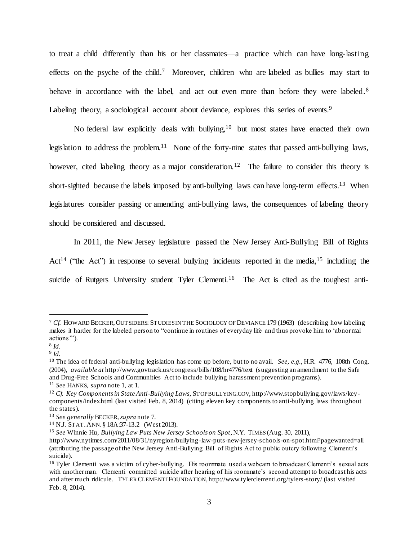<span id="page-2-0"></span>to treat a child differently than his or her classmates—a practice which can have long-lasting effects on the psyche of the child.<sup>7</sup> Moreover, children who are labeled as bullies may start to behave in accordance with the label, and act out even more than before they were labeled.<sup>8</sup> Labeling theory, a sociological account about deviance, explores this series of events.<sup>9</sup>

No federal law explicitly deals with bullying,<sup>10</sup> but most states have enacted their own legislation to address the problem.<sup>11</sup> None of the forty-nine states that passed anti-bullying laws, however, cited labeling theory as a major consideration.<sup>12</sup> The failure to consider this theory is short-sighted because the labels imposed by anti-bullying laws can have long-term effects.<sup>13</sup> When legislatures consider passing or amending anti-bullying laws, the consequences of labeling theory should be considered and discussed.

<span id="page-2-1"></span>In 2011, the New Jersey legislature passed the New Jersey Anti-Bullying Bill of Rights Act<sup>14</sup> ("the Act") in response to several bullying incidents reported in the media,<sup>15</sup> including the suicide of Rutgers University student Tyler Clementi.<sup>16</sup> The Act is cited as the toughest anti-

<sup>7</sup> *Cf.* HOWARD BECKER,OUTSIDERS: STUDIES IN THE SOCIOLOGY OF DEVIANCE 179 (1963) (describing how labeling makes it harder for the labeled person to "continue in routines of everyday life and thus provoke him to 'abnormal actions'").

<sup>8</sup> *Id.* 9 *Id.*

<sup>10</sup> The idea of federal anti-bullying legislation has come up before, but to no avail. *See, e.g.*, H.R. 4776, 108th Cong. (2004), *available at* http://www.govtrack.us/congress/bills/108/hr4776/text (suggesting an amendment to the Safe and Drug-Free Schools and Communities Act to include bullying harassment prevention programs).

<sup>11</sup> *See* HANKS, *supra* not[e 1,](#page-1-1) at 1.

<sup>12</sup> *Cf. Key Components in State Anti-Bullying Laws*, STOPBULLYING.GOV, http://www.stopbullying.gov/laws/keycomponents/index.html (last visited Feb. 8, 2014) (citing eleven key components to anti-bullying laws throughout the states).

<sup>13</sup> *See generally* BECKER, *supra* note [7.](#page-2-0)

<sup>14</sup> N.J. STAT.ANN. § 18A:37-13.2 (West 2013).

<sup>15</sup> *See* Winnie Hu, *Bullying Law Puts New Jersey Schools on Spot*, N.Y. TIMES (Aug. 30, 2011),

http://www.nytimes.com/2011/08/31/nyregion/bullying-law-puts-new-jersey-schools-on-spot.html?pagewanted=all (attributing the passage of the New Jersey Anti-Bullying Bill of Rights Act to public outcry following Clementi's suicide).

<sup>&</sup>lt;sup>16</sup> Tyler Clementi was a victim of cyber-bullying. His roommate used a webcam to broadcast Clementi's sexual acts with another man. Clementi committed suicide after hearing of his roommate's second attempt to broadcast his acts and after much ridicule. TYLER CLEMENTI FOUNDATION, http://www.tylerclementi.org/tylers-story/ (last visited Feb. 8, 2014).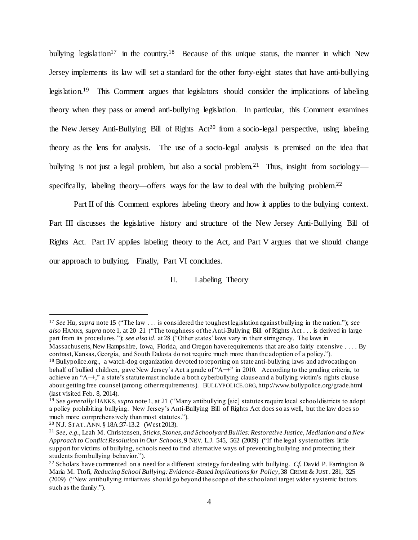bullying legislation<sup>17</sup> in the country.<sup>18</sup> Because of this unique status, the manner in which New Jersey implements its law will set a standard for the other forty-eight states that have anti-bullying legislation.<sup>19</sup> This Comment argues that legislators should consider the implications of labeling theory when they pass or amend anti-bullying legislation. In particular, this Comment examines the New Jersey Anti-Bullying Bill of Rights  $Act^{20}$  from a socio-legal perspective, using labeling theory as the lens for analysis. The use of a socio-legal analysis is premised on the idea that bullying is not just a legal problem, but also a social problem.<sup>21</sup> Thus, insight from sociology specifically, labeling theory—offers ways for the law to deal with the bullying problem.<sup>22</sup>

Part II of this Comment explores labeling theory and how it applies to the bullying context. Part III discusses the legislative history and structure of the New Jersey Anti-Bullying Bill of Rights Act. Part IV applies labeling theory to the Act, and Part V argues that we should change our approach to bullying. Finally, Part VI concludes.

# II. Labeling Theory

<sup>17</sup> *See* Hu, *supra* not[e 15](#page-2-1) ("The law . . . is considered the toughest legislation against bullying in the nation."); *see also* HANKS, *supra* not[e 1,](#page-1-1) at 20–21 ("The toughness of the Anti-Bullying Bill of Rights Act . . . is derived in large part from its procedures."); *see also id.* at 28 ("Other states' laws vary in their stringency. The laws in Massachusetts, New Hampshire, Iowa, Florida, and Oregon have requirements that are also fairly extensive . . . . By contrast, Kansas, Georgia, and South Dakota do not require much more than the adoption of a policy."). <sup>18</sup> Bullypolice.org., a watch-dog organization devoted to reporting on state anti-bullying laws and advocating on behalf of bullied children, gave New Jersey's Act a grade of "A++" in 2010. According to the grading criteria, to

achieve an "A++," a state's statute must include a both cyberbullying clause and a bullying victim's rights clause about getting free counsel (among other requirements). BULLYPOLICE.ORG, http://www.bullypolice.org/grade.html (last visited Feb. 8, 2014).

<sup>19</sup> *See generally* HANKS, *supra* note [1,](#page-1-1) at 21 ("Many antibullying [sic] statutes require local school districts to adopt a policy prohibiting bullying. New Jersey's Anti-Bullying Bill of Rights Act does so as well, but the law does so much more comprehensively than most statutes.").

<sup>20</sup> N.J. STAT.ANN. § 18A:37-13.2 (West 2013).

<sup>21</sup> *See, e.g.*, Leah M. Christensen, *Sticks, Stones, and Schoolyard Bullies: Restorative Justice, Mediation and a New Approach to Conflict Resolution in Our Schools*, 9 NEV. L.J. 545, 562 (2009) ("If the legal system offers little support for victims of bullying, schools need to find alternative ways of preventing bullying and protecting their students from bullying behavior.").

<sup>22</sup> Scholars have commented on a need for a different strategy for dealing with bullying. *Cf.* David P. Farrington & Maria M. Ttofi, *Reducing School Bullying: Evidence-Based Implications for Policy*, 38 CRIME & JUST. 281, 325 (2009) ("New antibullying initiatives should go beyond the scope of the school and target wider systemic factors such as the family.").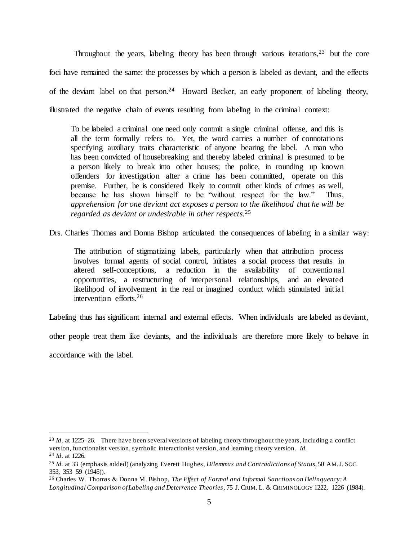Throughout the years, labeling theory has been through various iterations,  $2^3$  but the core foci have remained the same: the processes by which a person is labeled as deviant, and the effects of the deviant label on that person.<sup>24</sup> Howard Becker, an early proponent of labeling theory, illustrated the negative chain of events resulting from labeling in the criminal context:

To be labeled a criminal one need only commit a single criminal offense, and this is all the term formally refers to. Yet, the word carries a number of connotations specifying auxiliary traits characteristic of anyone bearing the label. A man who has been convicted of housebreaking and thereby labeled criminal is presumed to be a person likely to break into other houses; the police, in rounding up known offenders for investigation after a crime has been committed, operate on this premise. Further, he is considered likely to commit other kinds of crimes as well, because he has shown himself to be "without respect for the law." Thus*, apprehension for one deviant act exposes a person to the likelihood that he will be regarded as deviant or undesirable in other respects.*<sup>25</sup>

Drs. Charles Thomas and Donna Bishop articulated the consequences of labeling in a similar way:

The attribution of stigmatizing labels, particularly when that attribution process involves formal agents of social control, initiates a social process that results in altered self-conceptions, a reduction in the availability of conventional opportunities, a restructuring of interpersonal relationships, and an elevated likelihood of involvement in the real or imagined conduct which stimulated initial intervention efforts.<sup>26</sup>

Labeling thus has significant internal and external effects. When individuals are labeled as deviant,

other people treat them like deviants, and the individuals are therefore more likely to behave in

accordance with the label.

<sup>&</sup>lt;sup>23</sup> *Id.* at 1225–26. There have been several versions of labeling theory throughout the years, including a conflict version, functionalist version, symbolic interactionist version, and learning theory version. *Id.*

<sup>24</sup> *Id*. at 1226.

<sup>25</sup> *Id.* at 33 (emphasis added) (analyzing Everett Hughes, *Dilemmas and Contradictions of Status*, 50 AM.J. SOC. 353, 353–59 (1945)).

<sup>26</sup> Charles W. Thomas & Donna M. Bishop, *The Effect of Formal and Informal Sanctions on Delinquency: A Longitudinal Comparison of Labeling and Deterrence Theories*, 75 J. CRIM. L. & CRIMINOLOGY 1222, 1226 (1984).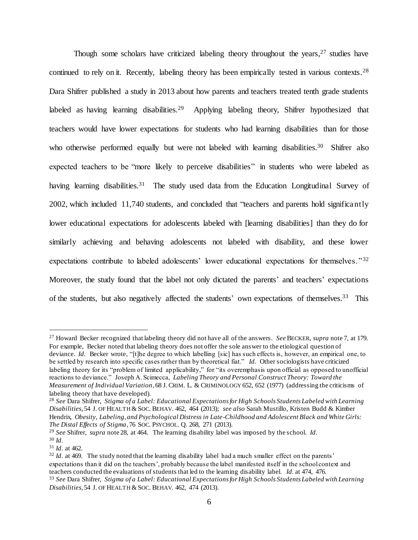<span id="page-5-0"></span>Though some scholars have criticized labeling theory throughout the years,<sup>27</sup> studies have continued to rely on it. Recently, labeling theory has been empirically tested in various contexts.<sup>28</sup> Dara Shifrer published a study in 2013 about how parents and teachers treated tenth grade students labeled as having learning disabilities.<sup>29</sup> Applying labeling theory, Shifrer hypothesized that teachers would have lower expectations for students who had learning disabilities than for those who otherwise performed equally but were not labeled with learning disabilities.<sup>30</sup> Shifrer also expected teachers to be "more likely to perceive disabilities" in students who were labeled as having learning disabilities.<sup>31</sup> The study used data from the Education Longitudinal Survey of 2002, which included 11,740 students, and concluded that "teachers and parents hold significantly lower educational expectations for adolescents labeled with [learning disabilities] than they do for similarly achieving and behaving adolescents not labeled with disability, and these lower expectations contribute to labeled adolescents' lower educational expectations for themselves."<sup>32</sup> Moreover, the study found that the label not only dictated the parents' and teachers' expectations of the students, but also negatively affected the students' own expectations of themselves.<sup>33</sup> This

<sup>27</sup> Howard Becker recognized that labeling theory did not have all of the answers. *See* BECKER, *supra* not[e 7,](#page-2-0) at 179. For example, Becker noted that labeling theory does not offer the sole answer to the etiological question of

deviance. *Id.* Becker wrote, "[t]he degree to which labelling [sic] has such effects is, however, an empirical one, to be settled by research into specific cases rather than by theoretical fiat." *Id.* Other sociologists have criticized labeling theory for its "problem of limited applicability," for "its overemphasis upon official as opposed to unofficial reactions to deviance." Joseph A. Scimecca, *Labeling Theory and Personal Construct Theory: Toward the Measurement of Individual Variation*, 68 J. CRIM. L. & CRIMINOLOGY 652, 652 (1977) (addressing the criticisms of labeling theory that have developed).

<sup>28</sup> *See* Dara Shifrer, *Stigma of a Label: Educational Expectations for High Schools Students Labeled with Learning Disabilities*, 54 J. OF HEALTH &SOC. BEHAV. 462, 464 (2013); *see also* Sarah Mustillo, Kristen Budd & Kimber Hendrix, *Obesity, Labeling, and Psychological Distress in Late-Childhood and Adolescent Black and White Girls: The Distal Effects of Stigma*, 76 SOC. PSYCHOL. Q. 268, 271 (2013).

<sup>29</sup> *See* Shifrer, *supra* not[e 28,](#page-5-0) at 464. The learning disability label was imposed by the school. *Id.* <sup>30</sup> *Id.*

<sup>31</sup> *Id.* at 462.

<sup>&</sup>lt;sup>32</sup> *Id.* at 469. The study noted that the learning disability label had a much smaller effect on the parents' expectations than it did on the teachers', probably because the label manifested itself in the school context and teachers conducted the evaluations of students that led to the learning disability label. *Id.* at 474, 476. <sup>33</sup> *See* Dara Shifrer, *Stigma of a Label: Educational Expectations for High Schools Students Labeled with Learning* 

*Disabilities*, 54 J. OF HEALTH & SOC. BEHAV. 462, 474 (2013).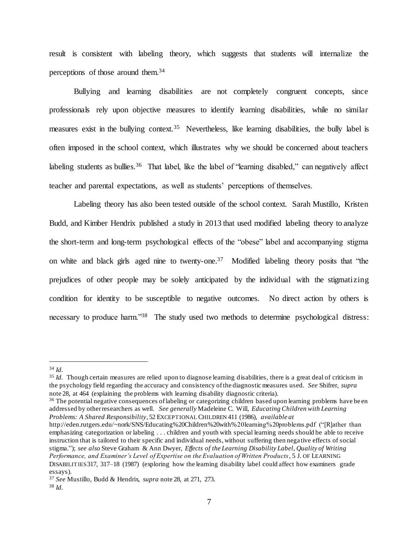result is consistent with labeling theory, which suggests that students will internalize the perceptions of those around them. 34

Bullying and learning disabilities are not completely congruent concepts, since professionals rely upon objective measures to identify learning disabilities, while no similar measures exist in the bullying context.<sup>35</sup> Nevertheless, like learning disabilities, the bully label is often imposed in the school context, which illustrates why we should be concerned about teachers labeling students as bullies.<sup>36</sup> That label, like the label of "learning disabled," can negatively affect teacher and parental expectations, as well as students' perceptions of themselves.

Labeling theory has also been tested outside of the school context. Sarah Mustillo, Kristen Budd, and Kimber Hendrix published a study in 2013 that used modified labeling theory to analyze the short-term and long-term psychological effects of the "obese" label and accompanying stigma on white and black girls aged nine to twenty-one.<sup>37</sup> Modified labeling theory posits that "the prejudices of other people may be solely anticipated by the individual with the stigmatizing condition for identity to be susceptible to negative outcomes. No direct action by others is necessary to produce harm."<sup>38</sup> The study used two methods to determine psychological distress:

 $\overline{a}$ 

<sup>36</sup> The potential negative consequences of labeling or categorizing children based upon learning problems have been addressed by other researchers as well. *See generally* Madeleine C. Will, *Educating Children with Learning Problems: A Shared Responsibility*, 52 EXCEPTIONAL CHILDREN 411 (1986), *available at* http://eden.rutgers.edu/~nork/SNS/Educating%20Children%20with%20learning%20problems.pdf ("[R]ather than emphasizing categorization or labeling . . . children and youth with special learning needs should be able to receive instruction that is tailored to their specific and individual needs, without suffering then nega tive effects of social stigma."); *see also* Steve Graham & Ann Dwyer, *Effects of the Learning Disability Label, Quality of Writing Performance, and Examiner's Level of Expertise on the Evaluation of Written Products*, 5 J. OF LEARNING DISABILITIES317, 317–18 (1987) (exploring how the learning disability label could affect how examiners grade essays).

<sup>34</sup> *Id.*

<sup>&</sup>lt;sup>35</sup> *Id.* Though certain measures are relied upon to diagnose learning disabilities, there is a great deal of criticism in the psychology field regarding the accuracy and consistency of the diagnostic measures used. *See* Shifrer, *supra* not[e 28,](#page-5-0) at 464 (explaining the problems with learning disability diagnostic criteria).

<sup>37</sup> *See* Mustillo, Budd & Hendrix, *supra* not[e 28,](#page-5-0) at 271, 273. <sup>38</sup> *Id.*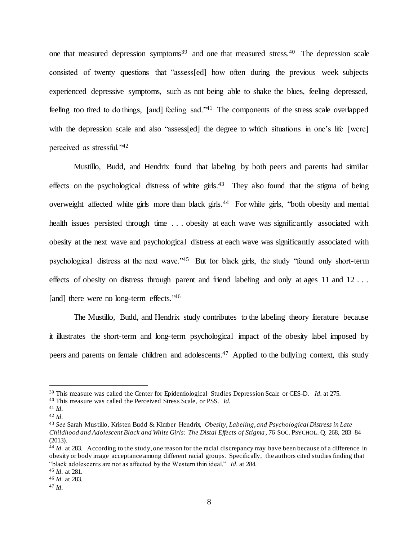one that measured depression symptoms<sup>39</sup> and one that measured stress.<sup>40</sup> The depression scale consisted of twenty questions that "assess[ed] how often during the previous week subjects experienced depressive symptoms, such as not being able to shake the blues, feeling depressed, feeling too tired to do things, [and] feeling sad."<sup>41</sup> The components of the stress scale overlapped with the depression scale and also "assess[ed] the degree to which situations in one's life [were] perceived as stressful."<sup>42</sup>

Mustillo, Budd, and Hendrix found that labeling by both peers and parents had similar effects on the psychological distress of white girls.<sup>43</sup> They also found that the stigma of being overweight affected white girls more than black girls.<sup>44</sup> For white girls, "both obesity and mental health issues persisted through time . . . obesity at each wave was significantly associated with obesity at the next wave and psychological distress at each wave was significantly associated with psychological distress at the next wave."<sup>45</sup> But for black girls, the study "found only short-term effects of obesity on distress through parent and friend labeling and only at ages 11 and 12... [and] there were no long-term effects."46

The Mustillo, Budd, and Hendrix study contributes to the labeling theory literature because it illustrates the short-term and long-term psychological impact of the obesity label imposed by peers and parents on female children and adolescents.<sup>47</sup> Applied to the bullying context, this study

<sup>39</sup> This measure was called the Center for Epidemiological Studies Depression Scale or CES-D. *Id.* at 275.

<sup>40</sup> This measure was called the Perceived Stress Scale, or PSS. *Id.*

<sup>41</sup> *Id.*

<sup>42</sup> *Id.*

<sup>43</sup> *See* Sarah Mustillo, Kristen Budd & Kimber Hendrix, *Obesity, Labeling, and Psychological Distress in Late Childhood and Adolescent Black and White Girls: The Distal Effects of Stigma* , 76 SOC. PSYCHOL. Q. 268, 283–84 (2013).

<sup>&</sup>lt;sup>44</sup> *Id.* at 283. According to the study, one reason for the racial discrepancy may have been because of a difference in obesity or body image acceptance among different racial groups. Specifically, the authors cited studies finding that "black adolescents are not as affected by the Western thin ideal." *Id.* at 284.

<sup>45</sup> *Id.* at 281.

<sup>46</sup> *Id.* at 283.

<sup>47</sup> *Id.*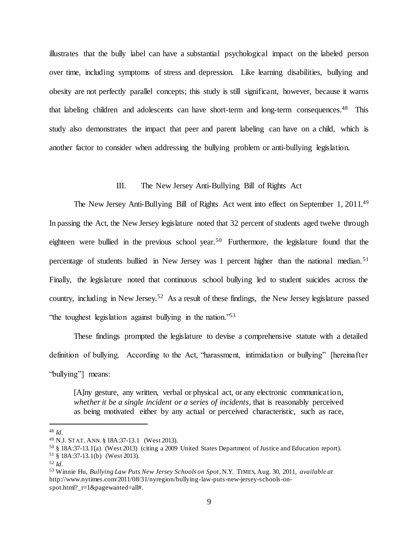illustrates that the bully label can have a substantial psychological impact on the labeled person over time, including symptoms of stress and depression. Like learning disabilities, bullying and obesity are not perfectly parallel concepts; this study is still significant, however, because it warns that labeling children and adolescents can have short-term and long-term consequences.<sup>48</sup> This study also demonstrates the impact that peer and parent labeling can have on a child, which is another factor to consider when addressing the bullying problem or anti-bullying legislation.

# <span id="page-8-0"></span>III. The New Jersey Anti-Bullying Bill of Rights Act

The New Jersey Anti-Bullying Bill of Rights Act went into effect on September 1, 2011.<sup>49</sup> In passing the Act, the New Jersey legislature noted that 32 percent of students aged twelve through eighteen were bullied in the previous school year.<sup>50</sup> Furthermore, the legislature found that the percentage of students bullied in New Jersey was 1 percent higher than the national median.<sup>51</sup> Finally, the legislature noted that continuous school bullying led to student suicides across the country, including in New Jersey.<sup>52</sup> As a result of these findings, the New Jersey legislature passed "the toughest legislation against bullying in the nation."<sup>53</sup>

<span id="page-8-1"></span>These findings prompted the legislature to devise a comprehensive statute with a detailed definition of bullying. According to the Act, "harassment, intimidation or bullying" [hereinafter "bullying"] means:

[A]ny gesture, any written, verbal or physical act, or any electronic communication, *whether it be a single incident or a series of incidents*, that is reasonably perceived as being motivated either by any actual or perceived characteristic, such as race,

<sup>48</sup> *Id.*

<sup>49</sup> N.J. STAT.ANN. § 18A:37-13.1 (West 2013).

<sup>50</sup> § 18A:37-13.1(a) (West 2013) (citing a 2009 United States Department of Justice and Education report).

<sup>51</sup> § 18A:37-13.1(b) (West 2013).

<sup>52</sup> *Id.*

<sup>53</sup> Winnie Hu, *Bullying Law Puts New Jersey Schools on Spot*, N.Y. TIMES, Aug. 30, 2011, *available at* http://www.nytimes.com/2011/08/31/nyregion/bullying-law-puts-new-jersey-schools-onspot.html? r=1&pagewanted=all#.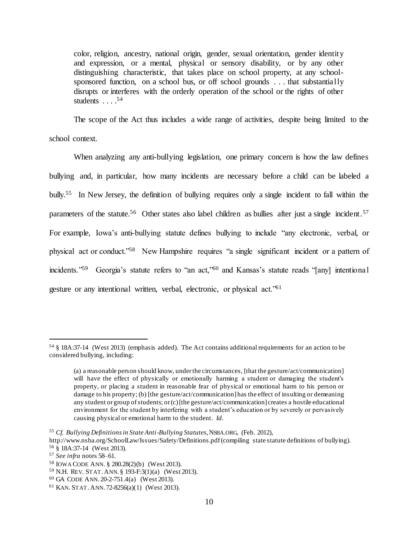color, religion, ancestry, national origin, gender, sexual orientation, gender identity and expression, or a mental, physical or sensory disability, or by any other distinguishing characteristic, that takes place on school property, at any schoolsponsored function, on a school bus, or off school grounds . . . that substantially disrupts or interferes with the orderly operation of the school or the rights of other students  $\ldots$ .<sup>54</sup>

The scope of the Act thus includes a wide range of activities, despite being limited to the school context.

<span id="page-9-0"></span>When analyzing any anti-bullying legislation, one primary concern is how the law defines bullying and, in particular, how many incidents are necessary before a child can be labeled a bully. 55 In New Jersey, the definition of bullying requires only a single incident to fall within the parameters of the statute.<sup>56</sup> Other states also label children as bullies after just a single incident.<sup>57</sup> For example, Iowa's anti-bullying statute defines bullying to include "any electronic, verbal, or physical act or conduct."<sup>58</sup> New Hampshire requires "a single significant incident or a pattern of incidents."<sup>59</sup> Georgia's statute refers to "an act,"<sup>60</sup> and Kansas's statute reads "[any] intentional gesture or any intentional written, verbal, electronic, or physical act."<sup>61</sup>

<sup>54</sup> § 18A:37-14 (West 2013) (emphasis added). The Act contains additional requirements for an action to be considered bullying, including:

<span id="page-9-1"></span><sup>(</sup>a) a reasonable person should know, under the circumstances, [that the gesture/act/communication] will have the effect of physically or emotionally harming a student or damaging the student's property, or placing a student in reasonable fear of physical or emotional harm to his person or damage to his property; (b) [the gesture/act/communication] has the effect of insulting or demeaning any student or group of students; or (c) [the gesture/act/communication] creates a hostile educational environment for the student by interfering with a student's education or by severely or pervasively causing physical or emotional harm to the student. *Id.*

<sup>55</sup> *Cf. Bullying Definitions in State Anti-Bullying Statutes*, NSBA.ORG, (Feb. 2012),

http://www.nsba.org/SchoolLaw/Issues/Safety/Definitions.pdf (compiling state statute definitions of bullying). <sup>56</sup> § 18A:37-14 (West 2013).

<sup>57</sup> *See infra* note[s 58](#page-9-0)[–61.](#page-9-1)

<sup>58</sup> IOWA CODE ANN. § 280.28(2)(b) (West 2013).

<sup>59</sup> N.H. REV. STAT.ANN. § 193-F:3(1)(a) (West 2013).

<sup>60</sup> GA CODE ANN. 20-2-751.4(a) (West 2013).

<sup>61</sup> KAN. STAT.ANN. 72-8256(a)(1) (West 2013).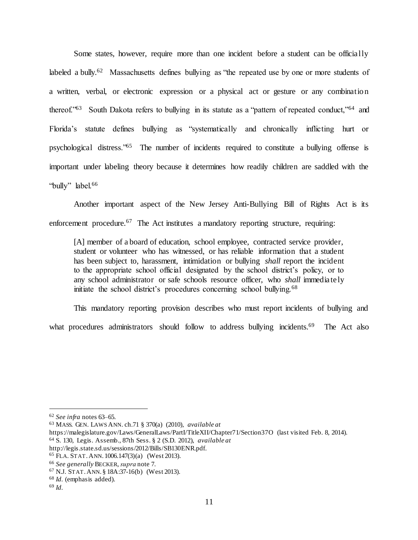<span id="page-10-0"></span>Some states, however, require more than one incident before a student can be officially labeled a bully.<sup>62</sup> Massachusetts defines bullying as "the repeated use by one or more students of a written, verbal, or electronic expression or a physical act or gesture or any combination thereof.<sup>763</sup> South Dakota refers to bullying in its statute as a "pattern of repeated conduct,<sup>764</sup> and Florida's statute defines bullying as "systematically and chronically inflicting hurt or psychological distress.<sup>765</sup> The number of incidents required to constitute a bullying offense is important under labeling theory because it determines how readily children are saddled with the "bully" label.<sup>66</sup>

<span id="page-10-1"></span>Another important aspect of the New Jersey Anti-Bullying Bill of Rights Act is its enforcement procedure.<sup>67</sup> The Act institutes a mandatory reporting structure, requiring:

[A] member of a board of education, school employee, contracted service provider, student or volunteer who has witnessed, or has reliable information that a student has been subject to, harassment, intimidation or bullying *shall* report the incident to the appropriate school official designated by the school district's policy, or to any school administrator or safe schools resource officer, who *shall* immediately initiate the school district's procedures concerning school bullying.<sup>68</sup>

This mandatory reporting provision describes who must report incidents of bullying and what procedures administrators should follow to address bullying incidents.<sup>69</sup> The Act also

https://malegislature.gov/Laws/GeneralLaws/PartI/TitleXII/Chapter71/Section37O (last visited Feb. 8, 2014).

<sup>62</sup> *See infra* note[s 63](#page-10-0)[–65.](#page-10-1)

<sup>63</sup> MASS. GEN. LAWS ANN. ch.71 § 370(a) (2010), *available at* 

<sup>64</sup> S. 130, Legis. Assemb., 87th Sess. § 2 (S.D. 2012), *available at*

http://legis.state.sd.us/sessions/2012/Bills/SB130ENR.pdf.

<sup>65</sup> FLA. STAT.ANN. 1006.147(3)(a) (West 2013).

<sup>66</sup> *See generally* BECKER, *supra* not[e 7.](#page-2-0)

<sup>67</sup> N.J. STAT.ANN. § 18A:37-16(b) (West 2013).

<sup>68</sup> *Id.* (emphasis added).

<sup>69</sup> *Id.*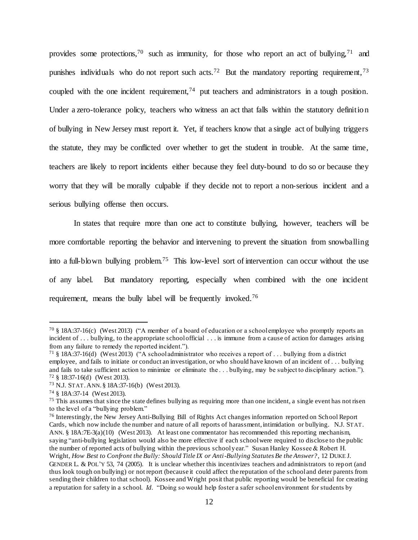provides some protections,<sup>70</sup> such as immunity, for those who report an act of bullying,<sup>71</sup> and punishes individuals who do not report such acts.<sup>72</sup> But the mandatory reporting requirement,<sup>73</sup> coupled with the one incident requirement,  $74$  put teachers and administrators in a tough position. Under a zero-tolerance policy, teachers who witness an act that falls within the statutory definition of bullying in New Jersey must report it. Yet, if teachers know that a single act of bullying triggers the statute, they may be conflicted over whether to get the student in trouble. At the same time, teachers are likely to report incidents either because they feel duty-bound to do so or because they worry that they will be morally culpable if they decide not to report a non-serious incident and a serious bullying offense then occurs.

In states that require more than one act to constitute bullying, however, teachers will be more comfortable reporting the behavior and intervening to prevent the situation from snowballing into a full-blown bullying problem.<sup>75</sup> This low-level sort of intervention can occur without the use of any label. But mandatory reporting, especially when combined with the one incident requirement, means the bully label will be frequently invoked.<sup>76</sup>

<sup>70</sup> § 18A:37-16(c) (West 2013) ("A member of a board of education or a school employee who promptly reports an incident of . . . bullying, to the appropriate school official . . . is immune from a cause of action for damages arising from any failure to remedy the reported incident.").

<sup>71</sup> § 18A:37-16(d) (West 2013) ("A school administrator who receives a report of . . . bullying from a district employee, and fails to initiate or conduct an investigation, or who should have known of an incident of . . . bullying and fails to take sufficient action to minimize or eliminate the . . . bullying, may be subject to disciplinary action."). <sup>72</sup> § 18:37-16(d) (West 2013).

<sup>73</sup> N.J. STAT.ANN. § 18A:37-16(b) (West 2013).

<sup>74</sup> § 18A:37-14 (West 2013).

 $75$  This assumes that since the state defines bullying as requiring more than one incident, a single event has not risen to the level of a "bullying problem."

<sup>76</sup> Interestingly, the New Jersey Anti-Bullying Bill of Rights Act changes information reported on School Report Cards, which now include the number and nature of all reports of harassment, intimidation or bullying. N.J. STAT. ANN. § 18A:7E-3(a)(10) (West 2013). At least one commentator has recommended this reporting mechanism, saying "anti-bullying legislation would also be more effective if each school were required to disclose to the public the number of reported acts of bullying within the previous school year." Susan Hanley Kossee & Robert H. Wright, *How Best to Confront the Bully: Should Title IX or Anti-Bullying Statutes Be the Answer?*, 12 DUKE J. GENDER L. & POL'Y 53, 74 (2005). It is unclear whether this incentivizes teachers and administrators to report (and thus look tough on bullying) or not report (because it could affect the reputation of the school and deter parents from sending their children to that school). Kossee and Wright posit that public reporting would be beneficial for creating a reputation for safety in a school. *Id.* "Doing so would help foster a safer school environment for students by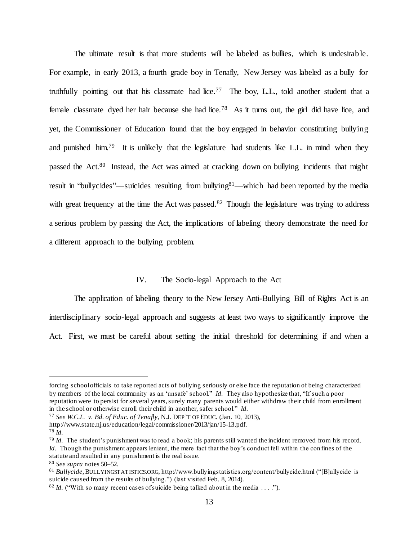The ultimate result is that more students will be labeled as bullies, which is undesirable. For example, in early 2013, a fourth grade boy in Tenafly, New Jersey was labeled as a bully for truthfully pointing out that his classmate had lice.<sup>77</sup> The boy, L.L., told another student that a female classmate dyed her hair because she had lice.<sup>78</sup> As it turns out, the girl did have lice, and yet, the Commissioner of Education found that the boy engaged in behavior constituting bullying and punished him.<sup>79</sup> It is unlikely that the legislature had students like L.L. in mind when they passed the Act.<sup>80</sup> Instead, the Act was aimed at cracking down on bullying incidents that might result in "bullycides"—suicides resulting from bullying<sup>81</sup>—which had been reported by the media with great frequency at the time the Act was passed.<sup>82</sup> Though the legislature was trying to address a serious problem by passing the Act, the implications of labeling theory demonstrate the need for a different approach to the bullying problem.

# IV. The Socio-legal Approach to the Act

The application of labeling theory to the New Jersey Anti-Bullying Bill of Rights Act is an interdisciplinary socio-legal approach and suggests at least two ways to significantly improve the Act. First, we must be careful about setting the initial threshold for determining if and when a

- <sup>77</sup> *See W.C.L. v. Bd. of Educ. of Tenafly*, N.J. DEP'T OF EDUC. (Jan. 10, 2013),
- http://www.state.nj.us/education/legal/commissioner/2013/jan/15-13.pdf.
- <sup>78</sup> *Id.*

forcing school officials to take reported acts of bullying seriously or else face the reputation of being characterized by members of the local community as an 'unsafe' school." *Id.* They also hypothesize that, "If such a poor reputation were to persist for several years, surely many parents would either withdraw their child from enrollment in the school or otherwise enroll their child in another, safer school." *Id.*

<sup>79</sup> *Id.* The student's punishment was to read a book; his parents still wanted the incident removed from his record. *Id.* Though the punishment appears lenient, the mere fact that the boy's conduct fell within the confines of the statute and resulted in any punishment is the real issue.

<sup>80</sup> *See supra* note[s 50](#page-8-0)[–52.](#page-8-1)

<sup>81</sup> *Bullycide*, BULLYINGSTATISTICS.ORG, http://www.bullyingstatistics.org/content/bullycide.html ("[B]ullycide is suicide caused from the results of bullying.") (last visited Feb. 8, 2014).

 $82$  *Id.* ("With so many recent cases of suicide being talked about in the media . . . .").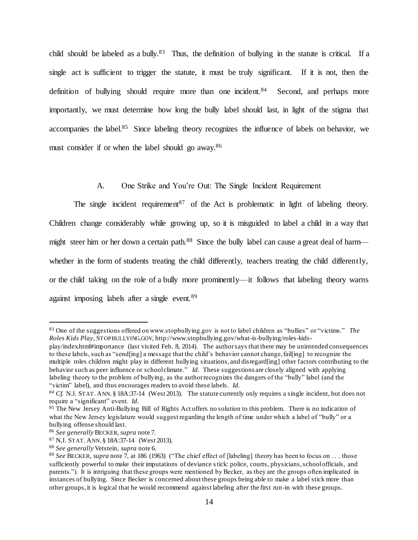child should be labeled as a bully.<sup>83</sup> Thus, the definition of bullying in the statute is critical. If a single act is sufficient to trigger the statute, it must be truly significant. If it is not, then the definition of bullying should require more than one incident.<sup>84</sup> Second, and perhaps more importantly, we must determine how long the bully label should last, in light of the stigma that accompanies the label.<sup>85</sup> Since labeling theory recognizes the influence of labels on behavior, we must consider if or when the label should go away.<sup>86</sup>

A. One Strike and You're Out: The Single Incident Requirement

The single incident requirement<sup>87</sup> of the Act is problematic in light of labeling theory. Children change considerably while growing up, so it is misguided to label a child in a way that might steer him or her down a certain path.<sup>88</sup> Since the bully label can cause a great deal of harm whether in the form of students treating the child differently, teachers treating the child differently, or the child taking on the role of a bully more prominently—it follows that labeling theory warns against imposing labels after a single event.<sup>89</sup>

<sup>83</sup> One of the suggestions offered on www.stopbullying.gov is not to label children as "bullies" or "victims." *The Roles Kids Play*, STOPBULLYING.GOV, http://www.stopbullying.gov/what-is-bullying/roles-kids-

play/index.html#importance (last visited Feb. 8, 2014). The author says that there may be unintended consequences to these labels, such as "send[ing] a message that the child's behavior cannot change, fail[ing] to recognize the multiple roles children might play in different bullying situations, and disregard[ing] other factors contributing to the behavior such as peer influence or school climate." *Id.* These suggestions are closely aligned with applying labeling theory to the problem of bullying, as the author recognizes the dangers of the "bully" label (and the "victim" label), and thus encourages readers to avoid these labels. *Id.*

<sup>84</sup> *Cf.* N.J. STAT.ANN. § 18A:37-14 (West 2013). The statute currently only requires a single incident, but does not require a "significant" event. *Id.*

<sup>&</sup>lt;sup>85</sup> The New Jersey Anti-Bullying Bill of Rights Act offers no solution to this problem. There is no indication of what the New Jersey legislature would suggest regarding the length of time under which a label of "bully" or a bullying offense should last.

<sup>86</sup> *See generally* BECKER, *supra* not[e 7.](#page-2-0)

<sup>87</sup> N.J. STAT.ANN. § 18A:37-14 (West 2013).

<sup>88</sup> *See generally* Vetstein, *supra* not[e 6.](#page-1-2)

<sup>89</sup> *See* BECKER, *supra* not[e 7,](#page-2-0) at 186 (1963) ("The chief effect of [labeling] theory has been to focus on . . . those sufficiently powerful to make their imputations of deviance stick: police, courts, physicians, school officials, and parents."). It is intriguing that these groups were mentioned by Becker, as they are the groups often implicated in instances of bullying. Since Becker is concerned about these groups being able to make a label stick more than other groups, it is logical that he would recommend against labeling after the first run -in with these groups.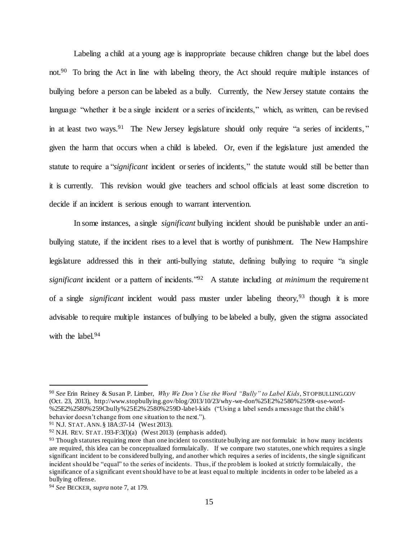Labeling a child at a young age is inappropriate because children change but the label does not.<sup>90</sup> To bring the Act in line with labeling theory, the Act should require multiple instances of bullying before a person can be labeled as a bully. Currently, the New Jersey statute contains the language "whether it be a single incident or a series of incidents," which, as written, can be revised in at least two ways.<sup>91</sup> The New Jersey legislature should only require "a series of incidents," given the harm that occurs when a child is labeled. Or, even if the legislature just amended the statute to require a "*significant* incident or series of incidents," the statute would still be better than it is currently. This revision would give teachers and school officials at least some discretion to decide if an incident is serious enough to warrant intervention.

In some instances, a single *significant* bullying incident should be punishable under an antibullying statute, if the incident rises to a level that is worthy of punishment. The New Hampshire legislature addressed this in their anti-bullying statute, defining bullying to require "a single *significant* incident or a pattern of incidents."<sup>92</sup> A statute including *at minimum* the requirement of a single *significant* incident would pass muster under labeling theory,<sup>93</sup> though it is more advisable to require multiple instances of bullying to be labeled a bully, given the stigma associated with the label.<sup>94</sup>

<sup>90</sup> *See* Erin Reiney & Susan P. Limber, *Why We Don't Use the Word "Bully" to Label Kids*, STOPBULLING.GOV (Oct. 23, 2013), http://www.stopbullying.gov/blog/2013/10/23/why-we-don%25E2%2580%2599t-use-word- %25E2%2580%259Cbully%25E2%2580%259D-label-kids ("Using a label sends a message that the child's behavior doesn't change from one situation to the next.").

<sup>91</sup> N.J. STAT.ANN. § 18A:37-14 (West 2013).

 $92$  N.H. REV. STAT. 193-F:3(I)(a) (West 2013) (emphasis added).

 $93$  Though statutes requiring more than one incident to constitute bullying are not formulaic in how many incidents are required, this idea can be conceptualized formulaically. If we compare two statutes, one which requires a single significant incident to be considered bullying, and another which requires a series of incidents, the single significant incident should be "equal" to the series of incidents. Thus, if the problem is looked at strictly formulaically, the significance of a significant event should have to be at least equal to multiple incidents in order to be labeled as a bullying offense.

<sup>94</sup> *See* BECKER, *supra* not[e 7,](#page-2-0) at 179.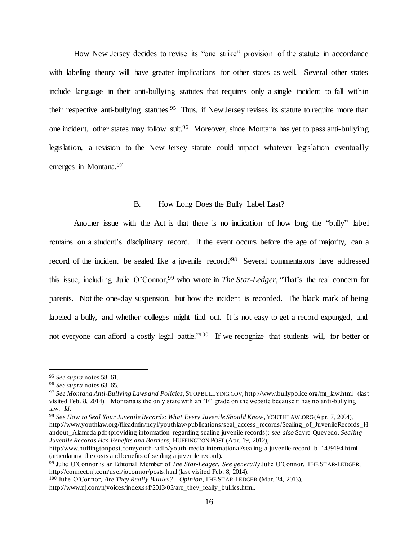How New Jersey decides to revise its "one strike" provision of the statute in accordance with labeling theory will have greater implications for other states as well. Several other states include language in their anti-bullying statutes that requires only a single incident to fall within their respective anti-bullying statutes.<sup>95</sup> Thus, if New Jersey revises its statute to require more than one incident, other states may follow suit.<sup>96</sup> Moreover, since Montana has yet to pass anti-bullying legislation, a revision to the New Jersey statute could impact whatever legislation eventually emerges in Montana.<sup>97</sup>

# <span id="page-15-0"></span>B. How Long Does the Bully Label Last?

Another issue with the Act is that there is no indication of how long the "bully" label remains on a student's disciplinary record. If the event occurs before the age of majority, can a record of the incident be sealed like a juvenile record?<sup>98</sup> Several commentators have addressed this issue, including Julie O'Connor,<sup>99</sup> who wrote in *The Star-Ledger*, "That's the real concern for parents. Not the one-day suspension, but how the incident is recorded. The black mark of being labeled a bully, and whether colleges might find out. It is not easy to get a record expunged, and not everyone can afford a costly legal battle."<sup>100</sup> If we recognize that students will, for better or

 $\overline{a}$ 

<sup>98</sup> *See How to Seal Your Juvenile Records: What Every Juvenile Should Know*, YOUTHLAW.ORG(Apr. 7, 2004), http://www.youthlaw.org/fileadmin/ncyl/youthlaw/publications/seal\_access\_records/Sealing\_of\_JuvenileRecords\_H andout\_Alameda.pdf (providing information regarding sealing juvenile records); *see also* Sayre Quevedo, *Sealing Juvenile Records Has Benefits and Barriers*, HUFFINGTON POST (Apr. 19, 2012),

<sup>95</sup> *See supra* note[s 58](#page-9-0)[–61.](#page-9-1)

<sup>96</sup> *See supra* note[s 63](#page-10-0)[–65.](#page-10-1)

<sup>97</sup> *See Montana Anti-Bullying Laws and Policies*, STOPBULLYING.GOV, http://www.bullypolice.org/mt\_law.html (last visited Feb. 8, 2014). Montana is the only state with an "F" grade on the website because it has no anti-bullying law. *Id.*

http:/www.huffingtonpost.com/youth-radio/youth-media-international/sealing-a-juvenile-record\_b\_1439194.html (articulating the costs and benefits of sealing a juvenile record).

<sup>99</sup> Julie O'Connor is an Editorial Member of *The Star-Ledger*. *See generally* Julie O'Connor, THE STAR-LEDGER, http://connect.nj.com/user/joconnor/posts.html (last visited Feb. 8, 2014).

<sup>100</sup> Julie O'Connor, *Are They Really Bullies? – Opinion*, THE STAR-LEDGER (Mar. 24, 2013), http://www.nj.com/njvoices/index.ssf/2013/03/are\_they\_really\_bullies.html.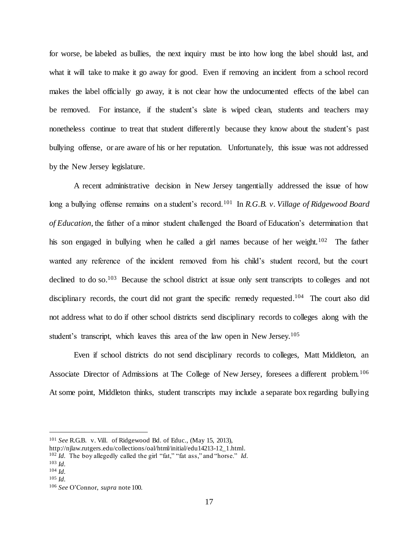for worse, be labeled as bullies, the next inquiry must be into how long the label should last, and what it will take to make it go away for good. Even if removing an incident from a school record makes the label officially go away, it is not clear how the undocumented effects of the label can be removed. For instance, if the student's slate is wiped clean, students and teachers may nonetheless continue to treat that student differently because they know about the student's past bullying offense, or are aware of his or her reputation. Unfortunately, this issue was not addressed by the New Jersey legislature.

A recent administrative decision in New Jersey tangentially addressed the issue of how long a bullying offense remains on a student's record.<sup>101</sup> In *R.G.B. v. Village of Ridgewood Board of Education*, the father of a minor student challenged the Board of Education's determination that his son engaged in bullying when he called a girl names because of her weight.<sup>102</sup> The father wanted any reference of the incident removed from his child's student record, but the court declined to do so.<sup>103</sup> Because the school district at issue only sent transcripts to colleges and not disciplinary records, the court did not grant the specific remedy requested.<sup>104</sup> The court also did not address what to do if other school districts send disciplinary records to colleges along with the student's transcript, which leaves this area of the law open in New Jersey.<sup>105</sup>

Even if school districts do not send disciplinary records to colleges, Matt Middleton, an Associate Director of Admissions at The College of New Jersey, foresees a different problem.<sup>106</sup> At some point, Middleton thinks, student transcripts may include a separate box regarding bullying

<sup>101</sup> *See* R.G.B. v. Vill. of Ridgewood Bd. of Educ., (May 15, 2013),

http://njlaw.rutgers.edu/collections/oal/html/initial/edu14213-12\_1.html.

<sup>102</sup> *Id.* The boy allegedly called the girl "fat," "fat ass," and "horse." *Id.*

<sup>103</sup> *Id.*

<sup>104</sup> *Id.* <sup>105</sup> *Id.*

<sup>106</sup> *See* O'Connor, *supra* not[e 100.](#page-15-0)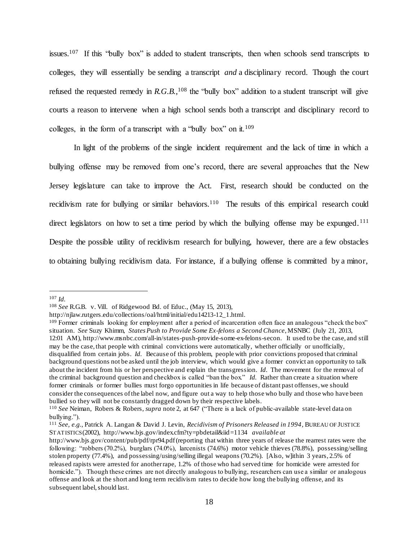issues.<sup>107</sup> If this "bully box" is added to student transcripts, then when schools send transcripts to colleges, they will essentially be sending a transcript *and* a disciplinary record. Though the court refused the requested remedy in  $R.G.B.,<sup>108</sup>$  the "bully box" addition to a student transcript will give courts a reason to intervene when a high school sends both a transcript and disciplinary record to colleges, in the form of a transcript with a "bully box" on it.  $109$ 

In light of the problems of the single incident requirement and the lack of time in which a bullying offense may be removed from one's record, there are several approaches that the New Jersey legislature can take to improve the Act. First, research should be conducted on the recidivism rate for bullying or similar behaviors.<sup>110</sup> The results of this empirical research could direct legislators on how to set a time period by which the bullying offense may be expunged.<sup>111</sup> Despite the possible utility of recidivism research for bullying, however, there are a few obstacles to obtaining bullying recidivism data. For instance, if a bullying offense is committed by a minor,

<sup>107</sup> *Id.*

<sup>108</sup> *See* R.G.B. v. Vill. of Ridgewood Bd. of Educ., (May 15, 2013),

http://njlaw.rutgers.edu/collections/oal/html/initial/edu14213-12\_1.html.

<sup>&</sup>lt;sup>109</sup> Former criminals looking for employment after a period of incarceration often face an analogous "check the box" situation. *See* Suzy Khimm, *States Push to Provide Some Ex-felons a Second Chance*, MSNBC (July 21, 2013, 12:01 AM), http://www.msnbc.com/all-in/states-push-provide-some-ex-felons-secon. It used to be the case, and still may be the case, that people with criminal convictions were automatically, whether officially or unofficially, disqualified from certain jobs. *Id.* Because of this problem, people with prior convictions proposed that criminal background questions not be asked until the job interview, which would give a former convict an opportunity to talk about the incident from his or her perspective and explain the transgression. *Id.* The movement for the removal of the criminal background question and checkbox is called "ban the box." *Id.* Rather than create a situation where former criminals or former bullies must forgo opportunities in life because of distant past offenses, we should consider the consequences of the label now, and figure out a way to help those who bully and those who have been bullied so they will not be constantly dragged down by their respective labels.

<sup>110</sup> *See* Neiman, Robers & Robers, *supra* not[e 2,](#page-1-0) at 647 ("There is a lack of public-available state-level data on bullying.").

<sup>111</sup> *See, e.g.*, Patrick A. Langan & David J. Levin, *Recidivism of Prisoners Released in 1994*, BUREAU OF JUSTICE STATISTICS(2002), http://www.bjs.gov/index.cfm?ty=pbdetail&iid=1134 *available at*

http://www.bjs.gov/content/pub/pdf/rpr94.pdf (reporting that within three years of release the rearrest rates were the following: "robbers (70.2%), burglars (74.0%), larcenists (74.6%) motor vehicle thieves (78.8%), possessing/selling stolen property (77.4%), and possessing/using/selling illegal weapons (70.2%). [Also, w]ithin 3 years, 2.5% of released rapists were arrested for another rape, 1.2% of those who had served time for homicide were arrested for homicide."). Though these crimes are not directly analogous to bullying, researchers can use a similar or analogous offense and look at the short and long term recidivism rates to decide how long the bullying offense, and its subsequent label, should last.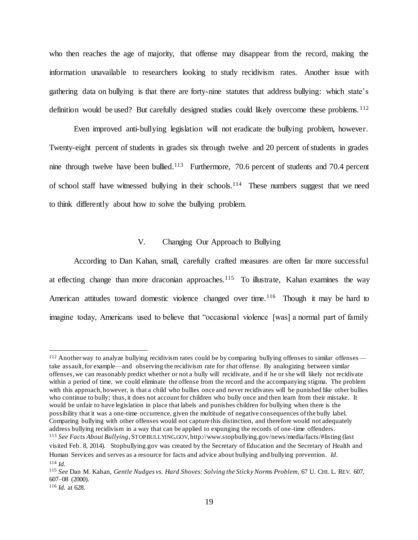who then reaches the age of majority, that offense may disappear from the record, making the information unavailable to researchers looking to study recidivism rates. Another issue with gathering data on bullying is that there are forty-nine statutes that address bullying: which state's definition would be used? But carefully designed studies could likely overcome these problems. <sup>112</sup>

Even improved anti-bullying legislation will not eradicate the bullying problem, however. Twenty-eight percent of students in grades six through twelve and 20 percent of students in grades nine through twelve have been bullied.<sup>113</sup> Furthermore, 70.6 percent of students and 70.4 percent of school staff have witnessed bullying in their schools.<sup>114</sup> These numbers suggest that we need to think differently about how to solve the bullying problem.

# <span id="page-18-0"></span>V. Changing Our Approach to Bullying

According to Dan Kahan, small, carefully crafted measures are often far more successful at effecting change than more draconian approaches.<sup>115</sup> To illustrate, Kahan examines the way American attitudes toward domestic violence changed over time.<sup>116</sup> Though it may be hard to imagine today, Americans used to believe that "occasional violence [was] a normal part of family

<sup>&</sup>lt;sup>112</sup> Another way to analyze bullying recidivism rates could be by comparing bullying offenses to similar offenses take assault, for example—and observing the recidivism rate for *that* offense. By analogizing between similar offenses, we can reasonably predict whether or not a bully will recidivate, and if he or she will likely not recidivate within a period of time, we could eliminate the offense from the record and the accompanying stigma. The problem with this approach, however, is that a child who bullies once and never recidivates will be punished like other bullies who continue to bully; thus, it does not account for children who bully once and then learn from their mistake. It would be unfair to have legislation in place that labels and punishes children for bullying when there is the possibility that it was a one-time occurrence, given the multitude of negative consequences of the bully label. Comparing bullying with other offenses would not capture this distinction, and therefore would not adequately address bullying recidivism in a way that can be applied to expunging the records of one -time offenders. <sup>113</sup> *See Facts About Bullying*, STOPBULLYING.GOV, http://www.stopbullying.gov/news/media/facts/#listing (last visited Feb. 8, 2014). Stopbullying.gov was created by the Secretary of Education and the Secretary of Health and Human Services and serves as a resource for facts and advice about bullying and bullying prevention. *Id*. <sup>114</sup> *Id.*

<sup>115</sup> *See* Dan M. Kahan, *Gentle Nudges vs. Hard Shoves: Solving the Sticky Norms Problem*, 67 U. CHI. L. REV. 607, 607–08 (2000).

<sup>116</sup> *Id.* at 628.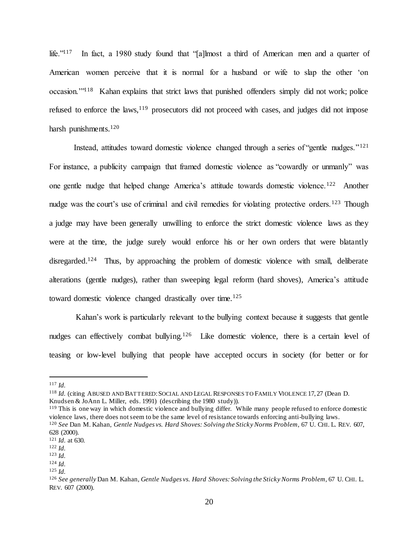life." $117$  In fact, a 1980 study found that "[a]lmost a third of American men and a quarter of American women perceive that it is normal for a husband or wife to slap the other 'on occasion."<sup>118</sup> Kahan explains that strict laws that punished offenders simply did not work; police refused to enforce the laws,<sup>119</sup> prosecutors did not proceed with cases, and judges did not impose harsh punishments.<sup>120</sup>

Instead, attitudes toward domestic violence changed through a series of "gentle nudges."<sup>121</sup> For instance, a publicity campaign that framed domestic violence as "cowardly or unmanly" was one gentle nudge that helped change America's attitude towards domestic violence.<sup>122</sup> Another nudge was the court's use of criminal and civil remedies for violating protective orders.<sup>123</sup> Though a judge may have been generally unwilling to enforce the strict domestic violence laws as they were at the time, the judge surely would enforce his or her own orders that were blatantly disregarded.<sup>124</sup> Thus, by approaching the problem of domestic violence with small, deliberate alterations (gentle nudges), rather than sweeping legal reform (hard shoves), America's attitude toward domestic violence changed drastically over time.<sup>125</sup>

Kahan's work is particularly relevant to the bullying context because it suggests that gentle nudges can effectively combat bullying.<sup>126</sup> Like domestic violence, there is a certain level of teasing or low-level bullying that people have accepted occurs in society (for better or for

<sup>117</sup> *Id.*

<sup>118</sup> *Id.* (citing ABUSED AND BATTERED:SOCIAL AND LEGAL RESPONSES TO FAMILY VIOLENCE 17, 27 (Dean D. Knudsen & JoAnn L. Miller, eds. 1991) (describing the 1980 study)).

<sup>&</sup>lt;sup>119</sup> This is one way in which domestic violence and bullying differ. While many people refused to enforce domestic violence laws, there does not seem to be the same level of resistance towards enforcing anti-bullying laws.

<sup>120</sup> *See* Dan M. Kahan, *Gentle Nudges vs. Hard Shoves: Solving the Sticky Norms Problem*, 67 U. CHI. L. REV. 607, 628 (2000).

<sup>121</sup> *Id.* at 630*.*

<sup>122</sup> *Id.*

<sup>123</sup> *Id.*

<sup>124</sup> *Id.*

<sup>125</sup> *Id.*

<sup>126</sup> *See generally* Dan M. Kahan, *Gentle Nudges vs. Hard Shoves: Solving the Sticky Norms Problem*, 67 U. CHI. L. REV. 607 (2000).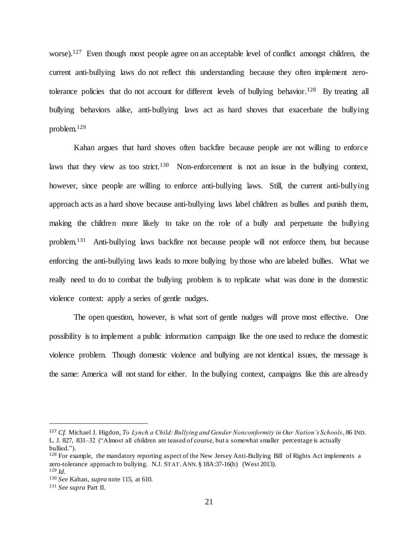worse).<sup>127</sup> Even though most people agree on an acceptable level of conflict amongst children, the current anti-bullying laws do not reflect this understanding because they often implement zerotolerance policies that do not account for different levels of bullying behavior.<sup>128</sup> By treating all bullying behaviors alike, anti-bullying laws act as hard shoves that exacerbate the bullying problem.<sup>129</sup>

Kahan argues that hard shoves often backfire because people are not willing to enforce laws that they view as too strict.<sup>130</sup> Non-enforcement is not an issue in the bullying context, however, since people are willing to enforce anti-bullying laws. Still, the current anti-bullying approach acts as a hard shove because anti-bullying laws label children as bullies and punish them, making the children more likely to take on the role of a bully and perpetuate the bullying problem.<sup>131</sup> Anti-bullying laws backfire not because people will not enforce them, but because enforcing the anti-bullying laws leads to more bullying by those who are labeled bullies. What we really need to do to combat the bullying problem is to replicate what was done in the domestic violence context: apply a series of gentle nudges.

The open question, however, is what sort of gentle nudges will prove most effective. One possibility is to implement a public information campaign like the one used to reduce the domestic violence problem. Though domestic violence and bullying are not identical issues, the message is the same: America will not stand for either. In the bullying context, campaigns like this are already

<sup>127</sup> *Cf.* Michael J. Higdon, *To Lynch a Child: Bullying and Gender Nonconformity in Our Nation's Schools*, 86 IND. L. J. 827, 831–32 ("Almost all children are teased of course, but a somewhat smaller percentage is actually bullied.").

<sup>&</sup>lt;sup>128</sup> For example, the mandatory reporting aspect of the New Jersey Anti-Bullying Bill of Rights Act implements a zero-tolerance approach to bullying. N.J. STAT.ANN. § 18A:37-16(b) (West 2013). <sup>129</sup> *Id.*

<sup>130</sup> *See* Kahan, *supra* not[e 115,](#page-18-0) at 610.

<sup>131</sup> *See supra* Part II.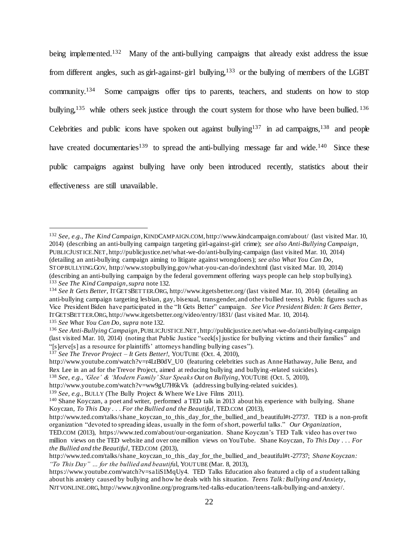<span id="page-21-0"></span>being implemented.<sup>132</sup> Many of the anti-bullying campaigns that already exist address the issue from different angles, such as girl-against-girl bullying,<sup>133</sup> or the bullying of members of the LGBT community.<sup>134</sup> Some campaigns offer tips to parents, teachers, and students on how to stop bullying,<sup>135</sup> while others seek justice through the court system for those who have been bullied. <sup>136</sup> Celebrities and public icons have spoken out against bullying<sup>137</sup> in ad campaigns,<sup>138</sup> and people have created documentaries<sup>139</sup> to spread the anti-bullying message far and wide.<sup>140</sup> Since these public campaigns against bullying have only been introduced recently, statistics about their effectiveness are still unavailable.

(describing an anti-bullying campaign by the federal government offering ways people can help stop bullying). <sup>133</sup> *See The Kind Campaign*,*supra* not[e 132.](#page-21-0)

<sup>132</sup> *See, e.g.*, *The Kind Campaign*, KINDCAMPAIGN.COM, http://www.kindcampaign.com/about/ (last visited Mar. 10, 2014) (describing an anti-bullying campaign targeting girl-against-girl crime); *see also Anti-Bullying Campaign*, PUBLICJUSTICE.NET, http://publicjustice.net/what-we-do/anti-bullying-campaign (last visited Mar. 10, 2014) (detailing an anti-bullying campaign aiming to litigate against wrongdoers); *see also What You Can Do*, STOPBULLYING.GOV, http://www.stopbullying.gov/what-you-can-do/index.html (last visited Mar. 10, 2014)

<sup>134</sup> *See It Gets Better*, ITGETSBETTER.ORG, http://www.itgetsbetter.org/ (last visited Mar. 10, 2014) (detailing an anti-bullying campaign targeting lesbian, gay, bisexual, transgender, and other bullied teens). Public figures such as Vice President Biden have participated in the "It Gets Better" campaign. *See Vice President Biden: It Gets Better*, ITGETSBETTER.ORG, http://www.itgetsbetter.org/video/entry/1831/ (last visited Mar. 10, 2014).

<sup>135</sup> *See What You Can Do*, *supra* not[e 132.](#page-21-0)

<sup>136</sup> *See Anti-Bullying Campaign*, PUBLICJUSTICE.NET, http://publicjustice.net/what-we-do/anti-bullying-campaign (last visited Mar. 10, 2014) (noting that Public Justice "seek[s] justice for bullying victims and their families" and "[s]erve[s] as a resource for plaintiffs' attorneys handling bullying cases").

<sup>137</sup> *See The Trevor Project – It Gets Better!*, YOUTUBE (Oct. 4, 2010),

http://www.youtube.com/watch?v=r4LtB0dV\_U0 (featuring celebrities such as Anne Hathaway, Julie Benz, and Rex Lee in an ad for the Trevor Project, aimed at reducing bullying and bullying -related suicides).

<sup>138</sup> *See, e.g.*, *'Glee' & 'Modern Family' Star Speaks Out on Bullying*, YOUTUBE (Oct. 5, 2010),

http://www.youtube.com/watch?v=ww9gU7H6kVk (addressing bullying-related suicides).

<sup>139</sup> *See, e.g.*, BULLY (The Bully Project & Where We Live Films 2011).

<sup>140</sup> Shane Koyczan, a poet and writer, performed a TED talk in 2013 about his experience with bullying. Shane Koyczan, *To This Day . . . For the Bullied and the Beautiful*, TED.COM (2013),

http://www.ted.com/talks/shane\_koyczan\_to\_this\_day\_for\_the\_bullied\_and\_b eautiful#t-27737. TED is a non-profit organization "devoted to spreading ideas, usually in the form of short, powerful talks." *Our Organization*,

TED.COM (2013), https://www.ted.com/about/our-organization. Shane Koyczan's TED Talk video has over two million views on the TED website and over one million views on YouTube. Shane Koyczan, *To This Day . . . For the Bullied and the Beautiful*, TED.COM (2013),

http://www.ted.com/talks/shane\_koyczan\_to\_this\_day\_for\_the\_bullied\_and\_beautiful#t-27737; *Shane Koyczan: "To This Day" … for the bullied and beautif*ul, YOUTUBE (Mar. 8, 2013),

https://www.youtube.com/watch?v=sa1iS1MqUy4. TED Talks Education also featured a clip of a student talking about his anxiety caused by bullying and how he deals with his situation. *Teens Talk: Bullying and Anxiety*, NJTVONLINE.ORG, http://www.njtvonline.org/programs/ted-talks-education/teens-talk-bullying-and-anxiety/.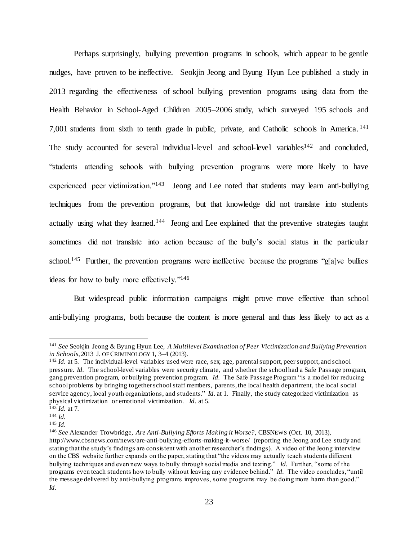<span id="page-22-0"></span>Perhaps surprisingly, bullying prevention programs in schools, which appear to be gentle nudges, have proven to be ineffective. Seokjin Jeong and Byung Hyun Lee published a study in 2013 regarding the effectiveness of school bullying prevention programs using data from the Health Behavior in School-Aged Children 2005–2006 study, which surveyed 195 schools and 7,001 students from sixth to tenth grade in public, private, and Catholic schools in America.<sup>141</sup> The study accounted for several individual-level and school-level variables<sup>142</sup> and concluded, "students attending schools with bullying prevention programs were more likely to have experienced peer victimization."<sup>143</sup> Jeong and Lee noted that students may learn anti-bullying techniques from the prevention programs, but that knowledge did not translate into students actually using what they learned.<sup>144</sup> Jeong and Lee explained that the preventive strategies taught sometimes did not translate into action because of the bully's social status in the particular school.<sup>145</sup> Further, the prevention programs were ineffective because the programs "g[a]ve bullies ideas for how to bully more effectively."<sup>146</sup>

But widespread public information campaigns might prove move effective than school anti-bullying programs, both because the content is more general and thus less likely to act as a

<sup>141</sup> *See* Seokjin Jeong & Byung Hyun Lee, *A Multilevel Examination of Peer Victimization and Bullying Prevention in Schools*, 2013 J. OF CRIMINOLOGY 1, 3–4 (2013).

<sup>&</sup>lt;sup>142</sup> *Id.* at 5. The individual-level variables used were race, sex, age, parental support, peer support, and school pressure. *Id.* The school-level variables were security climate, and whether the school had a Safe Passage program, gang prevention program, or bullying prevention program. *Id.* The Safe Passage Program "is a model for reducing school problems by bringing together school staff members, parents, the local health department, the local social service agency, local youth organizations, and students." *Id.* at 1. Finally, the study categorized victimization as physical victimization or emotional victimization. *Id.* at 5.

 $143$  *Id.* at 7.

<sup>144</sup> *Id.*

<sup>145</sup> *Id.*

<sup>146</sup> *See* Alexander Trowbridge, *Are Anti-Bullying Efforts Making it Worse?*, CBSNEWS (Oct. 10, 2013), http://www.cbsnews.com/news/are-anti-bullying-efforts-making-it-worse/ (reporting the Jeong and Lee study and stating that the study's findings are consistent with another researcher's findings). A video of the Jeong interview on the CBS website further expands on the paper, stating that "the videos may actually teach students different bullying techniques and even new ways to bully through social media and texting." *Id.* Further, "some of the programs even teach students how to bully without leaving any evidence behind." *Id.* The video concludes, "until the message delivered by anti-bullying programs improves, some programs may be doing more harm than good." *Id.*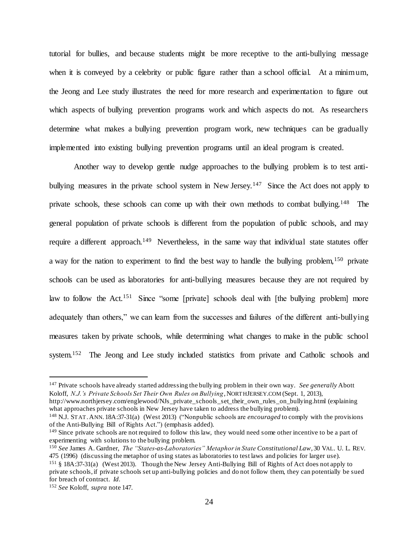tutorial for bullies, and because students might be more receptive to the anti-bullying message when it is conveyed by a celebrity or public figure rather than a school official. At a minimum, the Jeong and Lee study illustrates the need for more research and experimentation to figure out which aspects of bullying prevention programs work and which aspects do not. As researchers determine what makes a bullying prevention program work, new techniques can be gradually implemented into existing bullying prevention programs until an ideal program is created.

<span id="page-23-0"></span>Another way to develop gentle nudge approaches to the bullying problem is to test antibullying measures in the private school system in New Jersey.<sup>147</sup> Since the Act does not apply to private schools, these schools can come up with their own methods to combat bullying.<sup>148</sup> The general population of private schools is different from the population of public schools, and may require a different approach.<sup>149</sup> Nevertheless, in the same way that individual state statutes offer a way for the nation to experiment to find the best way to handle the bullying problem,  $150$  private schools can be used as laboratories for anti-bullying measures because they are not required by law to follow the Act.<sup>151</sup> Since "some [private] schools deal with [the bullying problem] more adequately than others," we can learn from the successes and failures of the different anti-bullying measures taken by private schools, while determining what changes to make in the public school system.<sup>152</sup> The Jeong and Lee study included statistics from private and Catholic schools and

<sup>147</sup> Private schools have already started addressing the bullying problem in their own way. *See generally* Abott Koloff, *N.J.'s Private Schools Set Their Own Rules on Bullying*, NORTHJERSEY.COM (Sept. 1, 2013),

http://www.northjersey.com/englewood/NJs\_private\_schools\_set\_their\_own\_rules\_on\_bullying.html (explaining what approaches private schools in New Jersey have taken to address the bullying problem).

<sup>148</sup> N.J. STAT.ANN. 18A:37-31(a) (West 2013) ("Nonpublic schools are *encouraged* to comply with the provisions of the Anti-Bullying Bill of Rights Act.") (emphasis added).

<sup>&</sup>lt;sup>149</sup> Since private schools are not required to follow this law, they would need some other incentive to be a part of experimenting with solutions to the bullying problem.

<sup>150</sup> *See* James A. Gardner, *The "States-as-Laboratories" Metaphor in State Constitutional Law*, 30 VAL. U. L. REV. 475 (1996) (discussing the metaphor of using states as laboratories to test laws and policies for larger use).

<sup>151</sup> § 18A:37-31(a) (West 2013). Though the New Jersey Anti-Bullying Bill of Rights of Act does not apply to private schools, if private schools set up anti-bullying policies and do not follow them, they can potentially be sued for breach of contract. *Id.*

<sup>152</sup> *See* Koloff, *supra* not[e 147.](#page-23-0)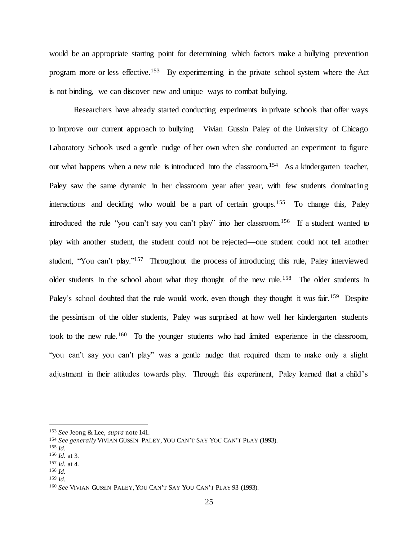would be an appropriate starting point for determining which factors make a bullying prevention program more or less effective.<sup>153</sup> By experimenting in the private school system where the Act is not binding, we can discover new and unique ways to combat bullying.

Researchers have already started conducting experiments in private schools that offer ways to improve our current approach to bullying. Vivian Gussin Paley of the University of Chicago Laboratory Schools used a gentle nudge of her own when she conducted an experiment to figure out what happens when a new rule is introduced into the classroom.<sup>154</sup> As a kindergarten teacher, Paley saw the same dynamic in her classroom year after year, with few students dominating interactions and deciding who would be a part of certain groups.<sup>155</sup> To change this, Paley introduced the rule "you can't say you can't play" into her classroom.<sup>156</sup> If a student wanted to play with another student, the student could not be rejected—one student could not tell another student, "You can't play."<sup>157</sup> Throughout the process of introducing this rule, Paley interviewed older students in the school about what they thought of the new rule.<sup>158</sup> The older students in Paley's school doubted that the rule would work, even though they thought it was fair.<sup>159</sup> Despite the pessimism of the older students, Paley was surprised at how well her kindergarten students took to the new rule.<sup>160</sup> To the younger students who had limited experience in the classroom, "you can't say you can't play" was a gentle nudge that required them to make only a slight adjustment in their attitudes towards play. Through this experiment, Paley learned that a child's

 $\overline{a}$ 

<sup>159</sup> *Id.*

<sup>153</sup> *See* Jeong & Lee, *supra* note [141.](#page-22-0)

<sup>154</sup> *See generally* VIVIAN GUSSIN PALEY,YOU CAN'T SAY YOU CAN'T PLAY (1993).

<sup>155</sup> *Id.*

<sup>156</sup> *Id.* at 3.

<sup>157</sup> *Id.* at 4.

<sup>158</sup> *Id.*

<sup>&</sup>lt;sup>160</sup> See VIVIAN GUSSIN PALEY, YOU CAN'T SAY YOU CAN'T PLAY 93 (1993).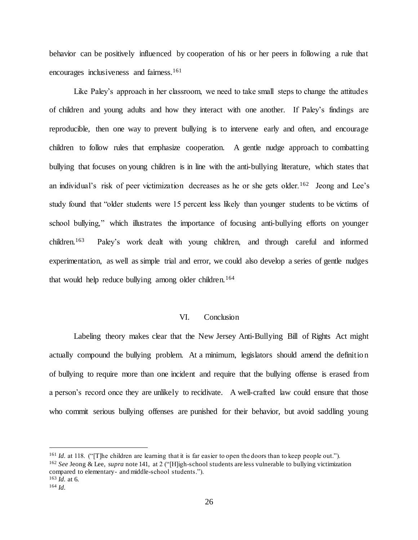behavior can be positively influenced by cooperation of his or her peers in following a rule that encourages inclusiveness and fairness.<sup>161</sup>

Like Paley's approach in her classroom, we need to take small steps to change the attitudes of children and young adults and how they interact with one another. If Paley's findings are reproducible, then one way to prevent bullying is to intervene early and often, and encourage children to follow rules that emphasize cooperation. A gentle nudge approach to combatting bullying that focuses on young children is in line with the anti-bullying literature, which states that an individual's risk of peer victimization decreases as he or she gets older.<sup>162</sup> Jeong and Lee's study found that "older students were 15 percent less likely than younger students to be victims of school bullying," which illustrates the importance of focusing anti-bullying efforts on younger children.<sup>163</sup> Paley's work dealt with young children, and through careful and informed experimentation, as well as simple trial and error, we could also develop a series of gentle nudges that would help reduce bullying among older children.<sup>164</sup>

#### VI. Conclusion

Labeling theory makes clear that the New Jersey Anti-Bullying Bill of Rights Act might actually compound the bullying problem. At a minimum, legislators should amend the definition of bullying to require more than one incident and require that the bullying offense is erased from a person's record once they are unlikely to recidivate. A well-crafted law could ensure that those who commit serious bullying offenses are punished for their behavior, but avoid saddling young

<sup>&</sup>lt;sup>161</sup> *Id.* at 118. ("The children are learning that it is far easier to open the doors than to keep people out.").

<sup>162</sup> *See* Jeong & Lee, *supra* not[e 141,](#page-22-0) at 2 ("[H]igh-school students are less vulnerable to bullying victimization compared to elementary- and middle-school students.").

<sup>163</sup> *Id.* at 6.

<sup>164</sup> *Id.*